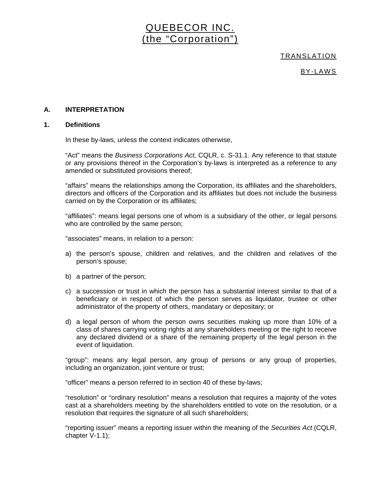# QUEBECOR INC. (the "Corporation")

TRANSLATION

BY-LAWS

# **A. INTERPRETATION**

# **1. Definitions**

In these by-laws, unless the context indicates otherwise,

"Act" means the *Business Corporations Act,* CQLR, c. S-31.1. Any reference to that statute or any provisions thereof in the Corporation's by-laws is interpreted as a reference to any amended or substituted provisions thereof;

"affairs" means the relationships among the Corporation, its affiliates and the shareholders, directors and officers of the Corporation and its affiliates but does not include the business carried on by the Corporation or its affiliates;

"affiliates": means legal persons one of whom is a subsidiary of the other, or legal persons who are controlled by the same person;

"associates" means, in relation to a person:

- a) the person's spouse, children and relatives, and the children and relatives of the person's spouse;
- b) a partner of the person;
- c) a succession or trust in which the person has a substantial interest similar to that of a beneficiary or in respect of which the person serves as liquidator, trustee or other administrator of the property of others, mandatary or depositary; or
- d) a legal person of whom the person owns securities making up more than 10% of a class of shares carrying voting rights at any shareholders meeting or the right to receive any declared dividend or a share of the remaining property of the legal person in the event of liquidation.

"group": means any legal person, any group of persons or any group of properties, including an organization, joint venture or trust;

"officer" means a person referred to in section 40 of these by-laws;

"resolution" or "ordinary resolution" means a resolution that requires a majority of the votes cast at a shareholders meeting by the shareholders entitled to vote on the resolution, or a resolution that requires the signature of all such shareholders;

"reporting issuer" means a reporting issuer within the meaning of the *Securities Act* (CQLR, chapter V-1.1);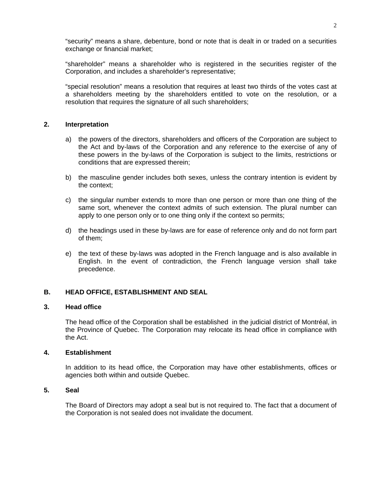"security" means a share, debenture, bond or note that is dealt in or traded on a securities exchange or financial market;

"shareholder" means a shareholder who is registered in the securities register of the Corporation, and includes a shareholder's representative;

"special resolution" means a resolution that requires at least two thirds of the votes cast at a shareholders meeting by the shareholders entitled to vote on the resolution, or a resolution that requires the signature of all such shareholders;

# **2. Interpretation**

- a) the powers of the directors, shareholders and officers of the Corporation are subject to the Act and by-laws of the Corporation and any reference to the exercise of any of these powers in the by-laws of the Corporation is subject to the limits, restrictions or conditions that are expressed therein;
- b) the masculine gender includes both sexes, unless the contrary intention is evident by the context;
- c) the singular number extends to more than one person or more than one thing of the same sort, whenever the context admits of such extension. The plural number can apply to one person only or to one thing only if the context so permits;
- d) the headings used in these by-laws are for ease of reference only and do not form part of them;
- e) the text of these by-laws was adopted in the French language and is also available in English. In the event of contradiction, the French language version shall take precedence.

# **B. HEAD OFFICE, ESTABLISHMENT AND SEAL**

#### **3. Head office**

The head office of the Corporation shall be established in the judicial district of Montréal, in the Province of Quebec. The Corporation may relocate its head office in compliance with the Act.

## **4. Establishment**

In addition to its head office, the Corporation may have other establishments, offices or agencies both within and outside Quebec.

# **5. Seal**

The Board of Directors may adopt a seal but is not required to. The fact that a document of the Corporation is not sealed does not invalidate the document.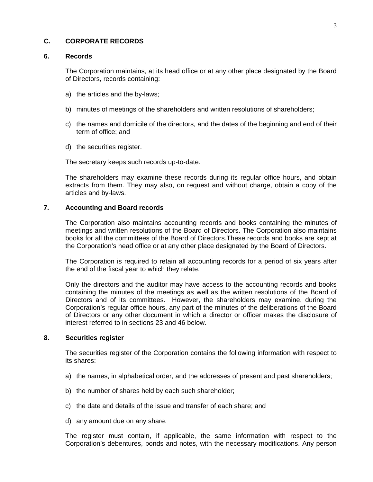# **C. CORPORATE RECORDS**

#### **6. Records**

The Corporation maintains, at its head office or at any other place designated by the Board of Directors, records containing:

- a) the articles and the by-laws;
- b) minutes of meetings of the shareholders and written resolutions of shareholders;
- c) the names and domicile of the directors, and the dates of the beginning and end of their term of office; and
- d) the securities register.

The secretary keeps such records up-to-date.

The shareholders may examine these records during its regular office hours, and obtain extracts from them. They may also, on request and without charge, obtain a copy of the articles and by-laws.

## **7. Accounting and Board records**

The Corporation also maintains accounting records and books containing the minutes of meetings and written resolutions of the Board of Directors. The Corporation also maintains books for all the committees of the Board of Directors.These records and books are kept at the Corporation's head office or at any other place designated by the Board of Directors.

The Corporation is required to retain all accounting records for a period of six years after the end of the fiscal year to which they relate.

Only the directors and the auditor may have access to the accounting records and books containing the minutes of the meetings as well as the written resolutions of the Board of Directors and of its committees. However, the shareholders may examine, during the Corporation's regular office hours, any part of the minutes of the deliberations of the Board of Directors or any other document in which a director or officer makes the disclosure of interest referred to in sections 23 and 46 below.

## **8. Securities register**

The securities register of the Corporation contains the following information with respect to its shares:

- a) the names, in alphabetical order, and the addresses of present and past shareholders;
- b) the number of shares held by each such shareholder;
- c) the date and details of the issue and transfer of each share; and
- d) any amount due on any share.

The register must contain, if applicable, the same information with respect to the Corporation's debentures, bonds and notes, with the necessary modifications. Any person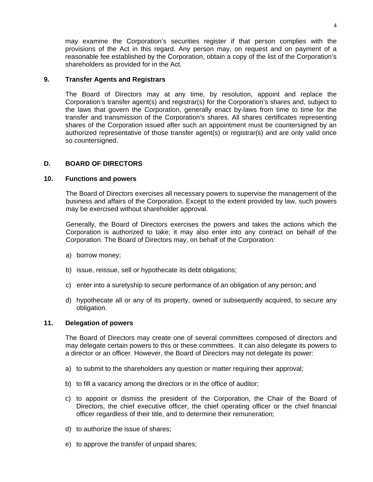may examine the Corporation's securities register if that person complies with the provisions of the Act in this regard. Any person may, on request and on payment of a reasonable fee established by the Corporation, obtain a copy of the list of the Corporation's shareholders as provided for in the Act.

# **9. Transfer Agents and Registrars**

The Board of Directors may at any time, by resolution, appoint and replace the Corporation's transfer agent(s) and registrar(s) for the Corporation's shares and, subject to the laws that govern the Corporation, generally enact by-laws from time to time for the transfer and transmission of the Corporation's shares. All shares certificates representing shares of the Corporation issued after such an appointment must be countersigned by an authorized representative of those transfer agent(s) or registrar(s) and are only valid once so countersigned.

# **D. BOARD OF DIRECTORS**

# **10. Functions and powers**

The Board of Directors exercises all necessary powers to supervise the management of the business and affairs of the Corporation. Except to the extent provided by law, such powers may be exercised without shareholder approval.

Generally, the Board of Directors exercises the powers and takes the actions which the Corporation is authorized to take; it may also enter into any contract on behalf of the Corporation. The Board of Directors may, on behalf of the Corporation:

- a) borrow money;
- b) issue, reissue, sell or hypothecate its debt obligations;
- c) enter into a suretyship to secure performance of an obligation of any person; and
- d) hypothecate all or any of its property, owned or subsequently acquired, to secure any obligation.

# **11. Delegation of powers**

The Board of Directors may create one of several committees composed of directors and may delegate certain powers to this or these committees. It can also delegate its powers to a director or an officer. However, the Board of Directors may not delegate its power:

- a) to submit to the shareholders any question or matter requiring their approval;
- b) to fill a vacancy among the directors or in the office of auditor;
- c) to appoint or dismiss the president of the Corporation, the Chair of the Board of Directors, the chief executive officer, the chief operating officer or the chief financial officer regardless of their title, and to determine their remuneration;
- d) to authorize the issue of shares;
- e) to approve the transfer of unpaid shares;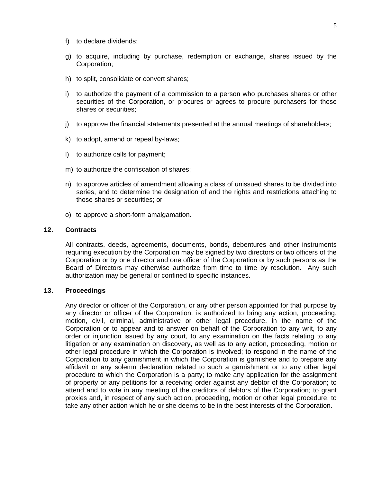- f) to declare dividends;
- g) to acquire, including by purchase, redemption or exchange, shares issued by the Corporation;
- h) to split, consolidate or convert shares;
- i) to authorize the payment of a commission to a person who purchases shares or other securities of the Corporation, or procures or agrees to procure purchasers for those shares or securities;
- j) to approve the financial statements presented at the annual meetings of shareholders;
- k) to adopt, amend or repeal by-laws;
- l) to authorize calls for payment;
- m) to authorize the confiscation of shares;
- n) to approve articles of amendment allowing a class of unissued shares to be divided into series, and to determine the designation of and the rights and restrictions attaching to those shares or securities; or
- o) to approve a short-form amalgamation.

### **12. Contracts**

All contracts, deeds, agreements, documents, bonds, debentures and other instruments requiring execution by the Corporation may be signed by two directors or two officers of the Corporation or by one director and one officer of the Corporation or by such persons as the Board of Directors may otherwise authorize from time to time by resolution. Any such authorization may be general or confined to specific instances.

## **13. Proceedings**

Any director or officer of the Corporation, or any other person appointed for that purpose by any director or officer of the Corporation, is authorized to bring any action, proceeding, motion, civil, criminal, administrative or other legal procedure, in the name of the Corporation or to appear and to answer on behalf of the Corporation to any writ, to any order or injunction issued by any court, to any examination on the facts relating to any litigation or any examination on discovery, as well as to any action, proceeding, motion or other legal procedure in which the Corporation is involved; to respond in the name of the Corporation to any garnishment in which the Corporation is garnishee and to prepare any affidavit or any solemn declaration related to such a garnishment or to any other legal procedure to which the Corporation is a party; to make any application for the assignment of property or any petitions for a receiving order against any debtor of the Corporation; to attend and to vote in any meeting of the creditors of debtors of the Corporation; to grant proxies and, in respect of any such action, proceeding, motion or other legal procedure, to take any other action which he or she deems to be in the best interests of the Corporation.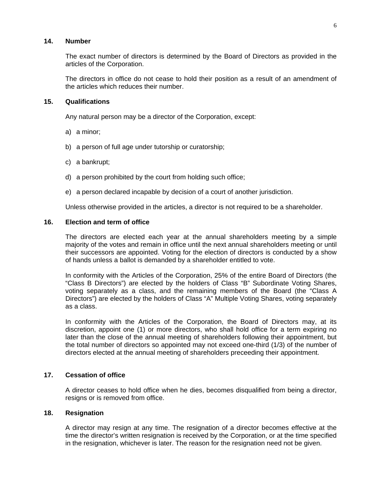# **14. Number**

The exact number of directors is determined by the Board of Directors as provided in the articles of the Corporation.

The directors in office do not cease to hold their position as a result of an amendment of the articles which reduces their number.

#### **15. Qualifications**

Any natural person may be a director of the Corporation, except:

- a) a minor;
- b) a person of full age under tutorship or curatorship;
- c) a bankrupt;
- d) a person prohibited by the court from holding such office;
- e) a person declared incapable by decision of a court of another jurisdiction.

Unless otherwise provided in the articles, a director is not required to be a shareholder.

### **16. Election and term of office**

The directors are elected each year at the annual shareholders meeting by a simple majority of the votes and remain in office until the next annual shareholders meeting or until their successors are appointed. Voting for the election of directors is conducted by a show of hands unless a ballot is demanded by a shareholder entitled to vote.

In conformity with the Articles of the Corporation, 25% of the entire Board of Directors (the "Class B Directors") are elected by the holders of Class "B" Subordinate Voting Shares, voting separately as a class, and the remaining members of the Board (the "Class A Directors") are elected by the holders of Class "A" Multiple Voting Shares, voting separately as a class.

In conformity with the Articles of the Corporation, the Board of Directors may, at its discretion, appoint one (1) or more directors, who shall hold office for a term expiring no later than the close of the annual meeting of shareholders following their appointment, but the total number of directors so appointed may not exceed one-third (1/3) of the number of directors elected at the annual meeting of shareholders preceeding their appointment.

# **17. Cessation of office**

A director ceases to hold office when he dies, becomes disqualified from being a director, resigns or is removed from office.

#### **18. Resignation**

A director may resign at any time. The resignation of a director becomes effective at the time the director's written resignation is received by the Corporation, or at the time specified in the resignation, whichever is later. The reason for the resignation need not be given.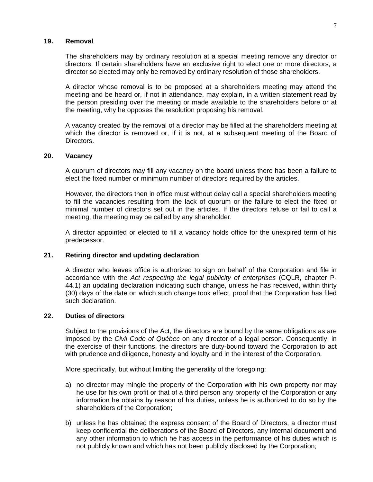## **19. Removal**

The shareholders may by ordinary resolution at a special meeting remove any director or directors. If certain shareholders have an exclusive right to elect one or more directors, a director so elected may only be removed by ordinary resolution of those shareholders.

A director whose removal is to be proposed at a shareholders meeting may attend the meeting and be heard or, if not in attendance, may explain, in a written statement read by the person presiding over the meeting or made available to the shareholders before or at the meeting, why he opposes the resolution proposing his removal.

A vacancy created by the removal of a director may be filled at the shareholders meeting at which the director is removed or, if it is not, at a subsequent meeting of the Board of Directors.

#### **20. Vacancy**

A quorum of directors may fill any vacancy on the board unless there has been a failure to elect the fixed number or minimum number of directors required by the articles.

However, the directors then in office must without delay call a special shareholders meeting to fill the vacancies resulting from the lack of quorum or the failure to elect the fixed or minimal number of directors set out in the articles. If the directors refuse or fail to call a meeting, the meeting may be called by any shareholder.

A director appointed or elected to fill a vacancy holds office for the unexpired term of his predecessor.

# **21. Retiring director and updating declaration**

A director who leaves office is authorized to sign on behalf of the Corporation and file in accordance with the *Act respecting the legal publicity of enterprises* (CQLR, chapter P-44.1) an updating declaration indicating such change, unless he has received, within thirty (30) days of the date on which such change took effect, proof that the Corporation has filed such declaration.

#### **22. Duties of directors**

Subject to the provisions of the Act, the directors are bound by the same obligations as are imposed by the *Civil Code of Québec* on any director of a legal person. Consequently, in the exercise of their functions, the directors are duty-bound toward the Corporation to act with prudence and diligence, honesty and loyalty and in the interest of the Corporation.

More specifically, but without limiting the generality of the foregoing:

- a) no director may mingle the property of the Corporation with his own property nor may he use for his own profit or that of a third person any property of the Corporation or any information he obtains by reason of his duties, unless he is authorized to do so by the shareholders of the Corporation;
- b) unless he has obtained the express consent of the Board of Directors, a director must keep confidential the deliberations of the Board of Directors, any internal document and any other information to which he has access in the performance of his duties which is not publicly known and which has not been publicly disclosed by the Corporation;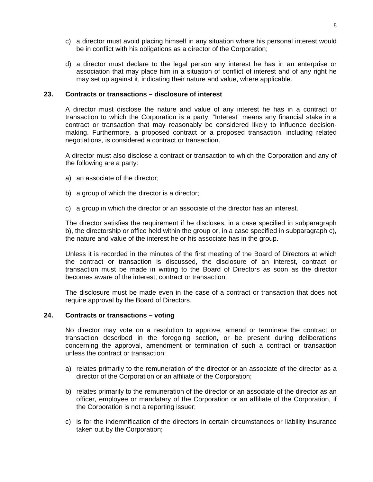- c) a director must avoid placing himself in any situation where his personal interest would be in conflict with his obligations as a director of the Corporation;
- d) a director must declare to the legal person any interest he has in an enterprise or association that may place him in a situation of conflict of interest and of any right he may set up against it, indicating their nature and value, where applicable.

# **23. Contracts or transactions – disclosure of interest**

A director must disclose the nature and value of any interest he has in a contract or transaction to which the Corporation is a party. "Interest" means any financial stake in a contract or transaction that may reasonably be considered likely to influence decisionmaking. Furthermore, a proposed contract or a proposed transaction, including related negotiations, is considered a contract or transaction.

A director must also disclose a contract or transaction to which the Corporation and any of the following are a party:

- a) an associate of the director;
- b) a group of which the director is a director;
- c) a group in which the director or an associate of the director has an interest.

The director satisfies the requirement if he discloses, in a case specified in subparagraph b), the directorship or office held within the group or, in a case specified in subparagraph c), the nature and value of the interest he or his associate has in the group.

Unless it is recorded in the minutes of the first meeting of the Board of Directors at which the contract or transaction is discussed, the disclosure of an interest, contract or transaction must be made in writing to the Board of Directors as soon as the director becomes aware of the interest, contract or transaction.

The disclosure must be made even in the case of a contract or transaction that does not require approval by the Board of Directors.

# **24. Contracts or transactions – voting**

No director may vote on a resolution to approve, amend or terminate the contract or transaction described in the foregoing section, or be present during deliberations concerning the approval, amendment or termination of such a contract or transaction unless the contract or transaction:

- a) relates primarily to the remuneration of the director or an associate of the director as a director of the Corporation or an affiliate of the Corporation;
- b) relates primarily to the remuneration of the director or an associate of the director as an officer, employee or mandatary of the Corporation or an affiliate of the Corporation, if the Corporation is not a reporting issuer;
- c) is for the indemnification of the directors in certain circumstances or liability insurance taken out by the Corporation;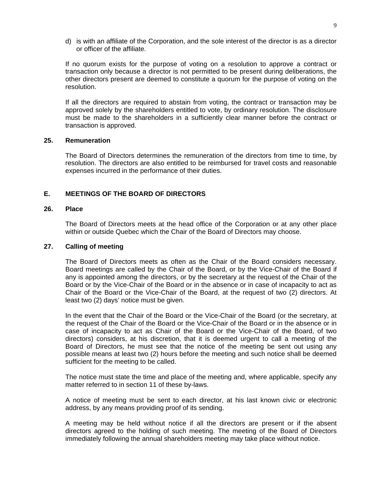d) is with an affiliate of the Corporation, and the sole interest of the director is as a director or officer of the affiliate.

If no quorum exists for the purpose of voting on a resolution to approve a contract or transaction only because a director is not permitted to be present during deliberations, the other directors present are deemed to constitute a quorum for the purpose of voting on the resolution.

If all the directors are required to abstain from voting, the contract or transaction may be approved solely by the shareholders entitled to vote, by ordinary resolution. The disclosure must be made to the shareholders in a sufficiently clear manner before the contract or transaction is approved.

# **25. Remuneration**

The Board of Directors determines the remuneration of the directors from time to time, by resolution. The directors are also entitled to be reimbursed for travel costs and reasonable expenses incurred in the performance of their duties.

# **E. MEETINGS OF THE BOARD OF DIRECTORS**

# **26. Place**

The Board of Directors meets at the head office of the Corporation or at any other place within or outside Quebec which the Chair of the Board of Directors may choose.

#### **27. Calling of meeting**

The Board of Directors meets as often as the Chair of the Board considers necessary. Board meetings are called by the Chair of the Board, or by the Vice-Chair of the Board if any is appointed among the directors, or by the secretary at the request of the Chair of the Board or by the Vice-Chair of the Board or in the absence or in case of incapacity to act as Chair of the Board or the Vice-Chair of the Board, at the request of two (2) directors. At least two (2) days' notice must be given.

In the event that the Chair of the Board or the Vice-Chair of the Board (or the secretary, at the request of the Chair of the Board or the Vice-Chair of the Board or in the absence or in case of incapacity to act as Chair of the Board or the Vice-Chair of the Board, of two directors) considers, at his discretion, that it is deemed urgent to call a meeting of the Board of Directors, he must see that the notice of the meeting be sent out using any possible means at least two (2) hours before the meeting and such notice shall be deemed sufficient for the meeting to be called.

The notice must state the time and place of the meeting and, where applicable, specify any matter referred to in section 11 of these by-laws.

A notice of meeting must be sent to each director, at his last known civic or electronic address, by any means providing proof of its sending.

A meeting may be held without notice if all the directors are present or if the absent directors agreed to the holding of such meeting. The meeting of the Board of Directors immediately following the annual shareholders meeting may take place without notice.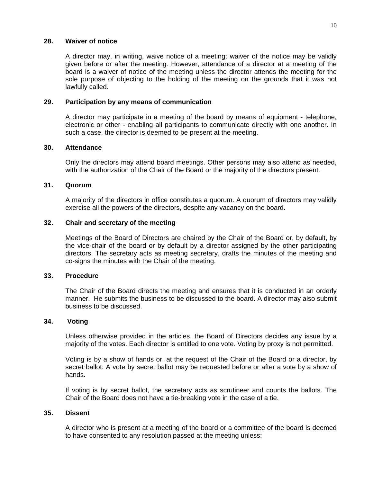# **28. Waiver of notice**

A director may, in writing, waive notice of a meeting; waiver of the notice may be validly given before or after the meeting. However, attendance of a director at a meeting of the board is a waiver of notice of the meeting unless the director attends the meeting for the sole purpose of objecting to the holding of the meeting on the grounds that it was not lawfully called.

## **29. Participation by any means of communication**

A director may participate in a meeting of the board by means of equipment - telephone, electronic or other - enabling all participants to communicate directly with one another. In such a case, the director is deemed to be present at the meeting.

# **30. Attendance**

Only the directors may attend board meetings. Other persons may also attend as needed, with the authorization of the Chair of the Board or the majority of the directors present.

## **31. Quorum**

A majority of the directors in office constitutes a quorum. A quorum of directors may validly exercise all the powers of the directors, despite any vacancy on the board.

# **32. Chair and secretary of the meeting**

Meetings of the Board of Directors are chaired by the Chair of the Board or, by default, by the vice-chair of the board or by default by a director assigned by the other participating directors. The secretary acts as meeting secretary, drafts the minutes of the meeting and co-signs the minutes with the Chair of the meeting.

# **33. Procedure**

The Chair of the Board directs the meeting and ensures that it is conducted in an orderly manner. He submits the business to be discussed to the board. A director may also submit business to be discussed.

# **34. Voting**

Unless otherwise provided in the articles, the Board of Directors decides any issue by a majority of the votes. Each director is entitled to one vote. Voting by proxy is not permitted.

Voting is by a show of hands or, at the request of the Chair of the Board or a director, by secret ballot. A vote by secret ballot may be requested before or after a vote by a show of hands.

If voting is by secret ballot, the secretary acts as scrutineer and counts the ballots. The Chair of the Board does not have a tie-breaking vote in the case of a tie.

#### **35. Dissent**

A director who is present at a meeting of the board or a committee of the board is deemed to have consented to any resolution passed at the meeting unless: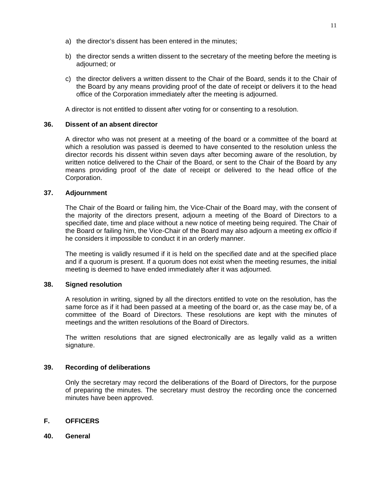- a) the director's dissent has been entered in the minutes;
- b) the director sends a written dissent to the secretary of the meeting before the meeting is adjourned; or
- c) the director delivers a written dissent to the Chair of the Board, sends it to the Chair of the Board by any means providing proof of the date of receipt or delivers it to the head office of the Corporation immediately after the meeting is adjourned.

A director is not entitled to dissent after voting for or consenting to a resolution.

# **36. Dissent of an absent director**

A director who was not present at a meeting of the board or a committee of the board at which a resolution was passed is deemed to have consented to the resolution unless the director records his dissent within seven days after becoming aware of the resolution, by written notice delivered to the Chair of the Board, or sent to the Chair of the Board by any means providing proof of the date of receipt or delivered to the head office of the Corporation.

## **37. Adjournment**

The Chair of the Board or failing him, the Vice-Chair of the Board may, with the consent of the majority of the directors present, adjourn a meeting of the Board of Directors to a specified date, time and place without a new notice of meeting being required. The Chair of the Board or failing him, the Vice-Chair of the Board may also adjourn a meeting *ex officio* if he considers it impossible to conduct it in an orderly manner.

The meeting is validly resumed if it is held on the specified date and at the specified place and if a quorum is present. If a quorum does not exist when the meeting resumes, the initial meeting is deemed to have ended immediately after it was adjourned.

# **38. Signed resolution**

A resolution in writing, signed by all the directors entitled to vote on the resolution, has the same force as if it had been passed at a meeting of the board or, as the case may be, of a committee of the Board of Directors. These resolutions are kept with the minutes of meetings and the written resolutions of the Board of Directors.

The written resolutions that are signed electronically are as legally valid as a written signature.

# **39. Recording of deliberations**

Only the secretary may record the deliberations of the Board of Directors, for the purpose of preparing the minutes. The secretary must destroy the recording once the concerned minutes have been approved.

# **F. OFFICERS**

**40. General**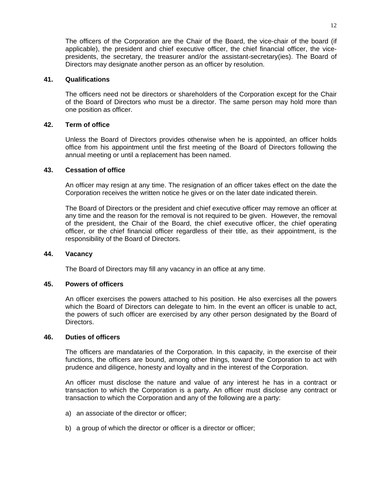The officers of the Corporation are the Chair of the Board, the vice-chair of the board (if applicable), the president and chief executive officer, the chief financial officer, the vicepresidents, the secretary, the treasurer and/or the assistant-secretary(ies). The Board of Directors may designate another person as an officer by resolution.

## **41. Qualifications**

The officers need not be directors or shareholders of the Corporation except for the Chair of the Board of Directors who must be a director. The same person may hold more than one position as officer.

# **42. Term of office**

Unless the Board of Directors provides otherwise when he is appointed, an officer holds office from his appointment until the first meeting of the Board of Directors following the annual meeting or until a replacement has been named.

### **43. Cessation of office**

An officer may resign at any time. The resignation of an officer takes effect on the date the Corporation receives the written notice he gives or on the later date indicated therein.

The Board of Directors or the president and chief executive officer may remove an officer at any time and the reason for the removal is not required to be given. However, the removal of the president, the Chair of the Board, the chief executive officer, the chief operating officer, or the chief financial officer regardless of their title, as their appointment, is the responsibility of the Board of Directors.

#### **44. Vacancy**

The Board of Directors may fill any vacancy in an office at any time.

## **45. Powers of officers**

An officer exercises the powers attached to his position. He also exercises all the powers which the Board of Directors can delegate to him. In the event an officer is unable to act, the powers of such officer are exercised by any other person designated by the Board of Directors.

#### **46. Duties of officers**

The officers are mandataries of the Corporation. In this capacity, in the exercise of their functions, the officers are bound, among other things, toward the Corporation to act with prudence and diligence, honesty and loyalty and in the interest of the Corporation.

An officer must disclose the nature and value of any interest he has in a contract or transaction to which the Corporation is a party. An officer must disclose any contract or transaction to which the Corporation and any of the following are a party:

- a) an associate of the director or officer;
- b) a group of which the director or officer is a director or officer;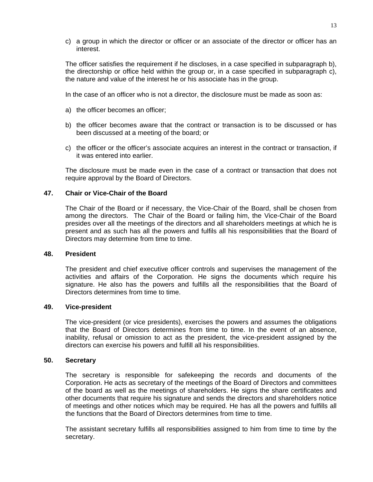c) a group in which the director or officer or an associate of the director or officer has an interest.

The officer satisfies the requirement if he discloses, in a case specified in subparagraph b), the directorship or office held within the group or, in a case specified in subparagraph c), the nature and value of the interest he or his associate has in the group.

In the case of an officer who is not a director, the disclosure must be made as soon as:

- a) the officer becomes an officer;
- b) the officer becomes aware that the contract or transaction is to be discussed or has been discussed at a meeting of the board; or
- c) the officer or the officer's associate acquires an interest in the contract or transaction, if it was entered into earlier.

The disclosure must be made even in the case of a contract or transaction that does not require approval by the Board of Directors.

### **47. Chair or Vice-Chair of the Board**

The Chair of the Board or if necessary, the Vice-Chair of the Board, shall be chosen from among the directors. The Chair of the Board or failing him, the Vice-Chair of the Board presides over all the meetings of the directors and all shareholders meetings at which he is present and as such has all the powers and fulfils all his responsibilities that the Board of Directors may determine from time to time.

#### **48. President**

The president and chief executive officer controls and supervises the management of the activities and affairs of the Corporation. He signs the documents which require his signature. He also has the powers and fulfills all the responsibilities that the Board of Directors determines from time to time.

#### **49. Vice-president**

The vice-president (or vice presidents), exercises the powers and assumes the obligations that the Board of Directors determines from time to time. In the event of an absence, inability, refusal or omission to act as the president, the vice-president assigned by the directors can exercise his powers and fulfill all his responsibilities.

#### **50. Secretary**

The secretary is responsible for safekeeping the records and documents of the Corporation. He acts as secretary of the meetings of the Board of Directors and committees of the board as well as the meetings of shareholders. He signs the share certificates and other documents that require his signature and sends the directors and shareholders notice of meetings and other notices which may be required. He has all the powers and fulfills all the functions that the Board of Directors determines from time to time.

The assistant secretary fulfills all responsibilities assigned to him from time to time by the secretary.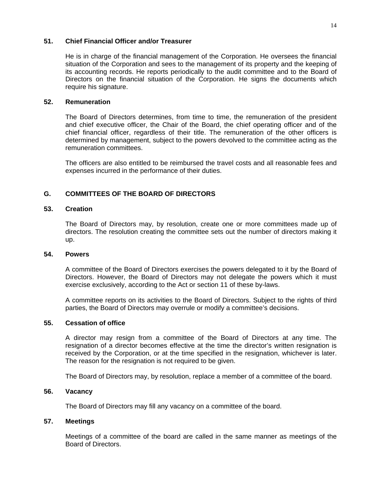# **51. Chief Financial Officer and/or Treasurer**

He is in charge of the financial management of the Corporation. He oversees the financial situation of the Corporation and sees to the management of its property and the keeping of its accounting records. He reports periodically to the audit committee and to the Board of Directors on the financial situation of the Corporation. He signs the documents which require his signature.

# **52. Remuneration**

The Board of Directors determines, from time to time, the remuneration of the president and chief executive officer, the Chair of the Board, the chief operating officer and of the chief financial officer, regardless of their title. The remuneration of the other officers is determined by management, subject to the powers devolved to the committee acting as the remuneration committees.

The officers are also entitled to be reimbursed the travel costs and all reasonable fees and expenses incurred in the performance of their duties.

# **G. COMMITTEES OF THE BOARD OF DIRECTORS**

# **53. Creation**

The Board of Directors may, by resolution, create one or more committees made up of directors. The resolution creating the committee sets out the number of directors making it up.

#### **54. Powers**

A committee of the Board of Directors exercises the powers delegated to it by the Board of Directors. However, the Board of Directors may not delegate the powers which it must exercise exclusively, according to the Act or section 11 of these by-laws.

A committee reports on its activities to the Board of Directors. Subject to the rights of third parties, the Board of Directors may overrule or modify a committee's decisions.

#### **55. Cessation of office**

A director may resign from a committee of the Board of Directors at any time. The resignation of a director becomes effective at the time the director's written resignation is received by the Corporation, or at the time specified in the resignation, whichever is later. The reason for the resignation is not required to be given.

The Board of Directors may, by resolution, replace a member of a committee of the board.

# **56. Vacancy**

The Board of Directors may fill any vacancy on a committee of the board.

#### **57. Meetings**

Meetings of a committee of the board are called in the same manner as meetings of the Board of Directors.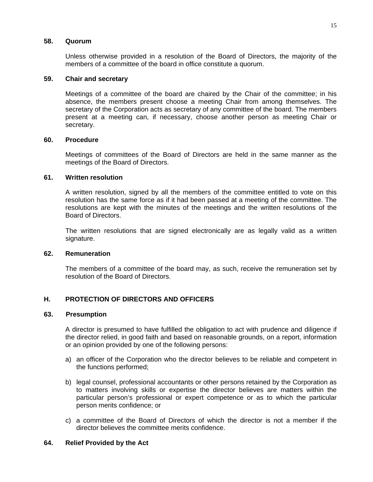## **58. Quorum**

Unless otherwise provided in a resolution of the Board of Directors, the majority of the members of a committee of the board in office constitute a quorum.

## **59. Chair and secretary**

Meetings of a committee of the board are chaired by the Chair of the committee; in his absence, the members present choose a meeting Chair from among themselves. The secretary of the Corporation acts as secretary of any committee of the board. The members present at a meeting can, if necessary, choose another person as meeting Chair or secretary.

### **60. Procedure**

Meetings of committees of the Board of Directors are held in the same manner as the meetings of the Board of Directors.

# **61. Written resolution**

A written resolution, signed by all the members of the committee entitled to vote on this resolution has the same force as if it had been passed at a meeting of the committee. The resolutions are kept with the minutes of the meetings and the written resolutions of the Board of Directors.

The written resolutions that are signed electronically are as legally valid as a written signature.

#### **62. Remuneration**

The members of a committee of the board may, as such, receive the remuneration set by resolution of the Board of Directors.

# **H. PROTECTION OF DIRECTORS AND OFFICERS**

## **63. Presumption**

A director is presumed to have fulfilled the obligation to act with prudence and diligence if the director relied, in good faith and based on reasonable grounds, on a report, information or an opinion provided by one of the following persons:

- a) an officer of the Corporation who the director believes to be reliable and competent in the functions performed;
- b) legal counsel, professional accountants or other persons retained by the Corporation as to matters involving skills or expertise the director believes are matters within the particular person's professional or expert competence or as to which the particular person merits confidence; or
- c) a committee of the Board of Directors of which the director is not a member if the director believes the committee merits confidence.

# **64. Relief Provided by the Act**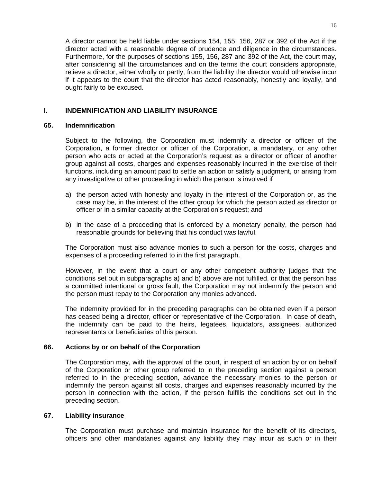A director cannot be held liable under sections 154, 155, 156, 287 or 392 of the Act if the director acted with a reasonable degree of prudence and diligence in the circumstances. Furthermore, for the purposes of sections 155, 156, 287 and 392 of the Act, the court may, after considering all the circumstances and on the terms the court considers appropriate, relieve a director, either wholly or partly, from the liability the director would otherwise incur if it appears to the court that the director has acted reasonably, honestly and loyally, and ought fairly to be excused.

# **I. INDEMNIFICATION AND LIABILITY INSURANCE**

# **65. Indemnification**

Subject to the following, the Corporation must indemnify a director or officer of the Corporation, a former director or officer of the Corporation, a mandatary, or any other person who acts or acted at the Corporation's request as a director or officer of another group against all costs, charges and expenses reasonably incurred in the exercise of their functions, including an amount paid to settle an action or satisfy a judgment, or arising from any investigative or other proceeding in which the person is involved if

- a) the person acted with honesty and loyalty in the interest of the Corporation or, as the case may be, in the interest of the other group for which the person acted as director or officer or in a similar capacity at the Corporation's request; and
- b) in the case of a proceeding that is enforced by a monetary penalty, the person had reasonable grounds for believing that his conduct was lawful.

The Corporation must also advance monies to such a person for the costs, charges and expenses of a proceeding referred to in the first paragraph.

However, in the event that a court or any other competent authority judges that the conditions set out in subparagraphs a) and b) above are not fulfilled, or that the person has a committed intentional or gross fault, the Corporation may not indemnify the person and the person must repay to the Corporation any monies advanced.

The indemnity provided for in the preceding paragraphs can be obtained even if a person has ceased being a director, officer or representative of the Corporation. In case of death, the indemnity can be paid to the heirs, legatees, liquidators, assignees, authorized representants or beneficiaries of this person.

# **66. Actions by or on behalf of the Corporation**

The Corporation may, with the approval of the court, in respect of an action by or on behalf of the Corporation or other group referred to in the preceding section against a person referred to in the preceding section, advance the necessary monies to the person or indemnify the person against all costs, charges and expenses reasonably incurred by the person in connection with the action, if the person fulfills the conditions set out in the preceding section.

# **67. Liability insurance**

The Corporation must purchase and maintain insurance for the benefit of its directors, officers and other mandataries against any liability they may incur as such or in their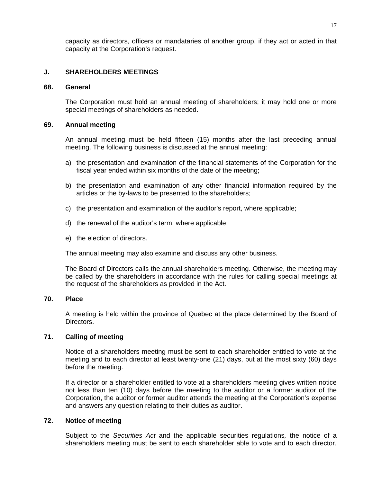capacity as directors, officers or mandataries of another group, if they act or acted in that capacity at the Corporation's request.

# **J. SHAREHOLDERS MEETINGS**

### **68. General**

The Corporation must hold an annual meeting of shareholders; it may hold one or more special meetings of shareholders as needed.

## **69. Annual meeting**

An annual meeting must be held fifteen (15) months after the last preceding annual meeting. The following business is discussed at the annual meeting:

- a) the presentation and examination of the financial statements of the Corporation for the fiscal year ended within six months of the date of the meeting;
- b) the presentation and examination of any other financial information required by the articles or the by-laws to be presented to the shareholders;
- c) the presentation and examination of the auditor's report, where applicable;
- d) the renewal of the auditor's term, where applicable;
- e) the election of directors.

The annual meeting may also examine and discuss any other business.

The Board of Directors calls the annual shareholders meeting. Otherwise, the meeting may be called by the shareholders in accordance with the rules for calling special meetings at the request of the shareholders as provided in the Act.

#### **70. Place**

A meeting is held within the province of Quebec at the place determined by the Board of Directors.

# **71. Calling of meeting**

Notice of a shareholders meeting must be sent to each shareholder entitled to vote at the meeting and to each director at least twenty-one (21) days, but at the most sixty (60) days before the meeting.

If a director or a shareholder entitled to vote at a shareholders meeting gives written notice not less than ten (10) days before the meeting to the auditor or a former auditor of the Corporation, the auditor or former auditor attends the meeting at the Corporation's expense and answers any question relating to their duties as auditor.

## **72. Notice of meeting**

Subject to the *Securities Act* and the applicable securities regulations*,* the notice of a shareholders meeting must be sent to each shareholder able to vote and to each director,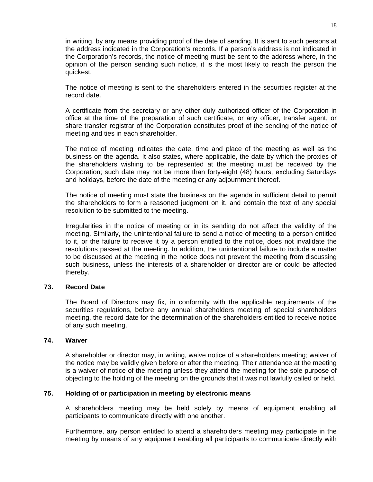in writing, by any means providing proof of the date of sending. It is sent to such persons at the address indicated in the Corporation's records. If a person's address is not indicated in the Corporation's records, the notice of meeting must be sent to the address where, in the opinion of the person sending such notice, it is the most likely to reach the person the quickest.

The notice of meeting is sent to the shareholders entered in the securities register at the record date.

A certificate from the secretary or any other duly authorized officer of the Corporation in office at the time of the preparation of such certificate, or any officer, transfer agent, or share transfer registrar of the Corporation constitutes proof of the sending of the notice of meeting and ties in each shareholder.

The notice of meeting indicates the date, time and place of the meeting as well as the business on the agenda. It also states, where applicable, the date by which the proxies of the shareholders wishing to be represented at the meeting must be received by the Corporation; such date may not be more than forty-eight (48) hours, excluding Saturdays and holidays, before the date of the meeting or any adjournment thereof.

The notice of meeting must state the business on the agenda in sufficient detail to permit the shareholders to form a reasoned judgment on it, and contain the text of any special resolution to be submitted to the meeting.

Irregularities in the notice of meeting or in its sending do not affect the validity of the meeting. Similarly, the unintentional failure to send a notice of meeting to a person entitled to it, or the failure to receive it by a person entitled to the notice, does not invalidate the resolutions passed at the meeting. In addition, the unintentional failure to include a matter to be discussed at the meeting in the notice does not prevent the meeting from discussing such business, unless the interests of a shareholder or director are or could be affected thereby.

# **73. Record Date**

The Board of Directors may fix, in conformity with the applicable requirements of the securities regulations, before any annual shareholders meeting of special shareholders meeting, the record date for the determination of the shareholders entitled to receive notice of any such meeting.

#### **74. Waiver**

A shareholder or director may, in writing, waive notice of a shareholders meeting; waiver of the notice may be validly given before or after the meeting. Their attendance at the meeting is a waiver of notice of the meeting unless they attend the meeting for the sole purpose of objecting to the holding of the meeting on the grounds that it was not lawfully called or held.

# **75. Holding of or participation in meeting by electronic means**

A shareholders meeting may be held solely by means of equipment enabling all participants to communicate directly with one another.

Furthermore, any person entitled to attend a shareholders meeting may participate in the meeting by means of any equipment enabling all participants to communicate directly with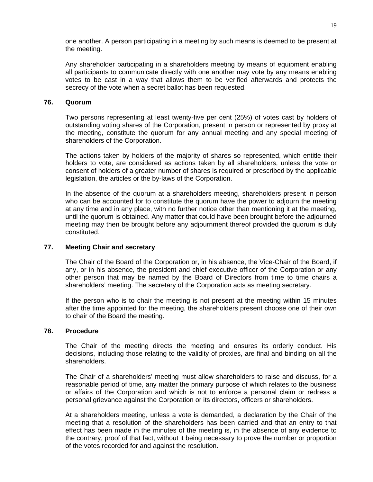one another. A person participating in a meeting by such means is deemed to be present at the meeting.

Any shareholder participating in a shareholders meeting by means of equipment enabling all participants to communicate directly with one another may vote by any means enabling votes to be cast in a way that allows them to be verified afterwards and protects the secrecy of the vote when a secret ballot has been requested.

## **76. Quorum**

Two persons representing at least twenty-five per cent (25%) of votes cast by holders of outstanding voting shares of the Corporation, present in person or represented by proxy at the meeting, constitute the quorum for any annual meeting and any special meeting of shareholders of the Corporation.

The actions taken by holders of the majority of shares so represented, which entitle their holders to vote, are considered as actions taken by all shareholders, unless the vote or consent of holders of a greater number of shares is required or prescribed by the applicable legislation, the articles or the by-laws of the Corporation.

In the absence of the quorum at a shareholders meeting, shareholders present in person who can be accounted for to constitute the quorum have the power to adjourn the meeting at any time and in any place, with no further notice other than mentioning it at the meeting, until the quorum is obtained. Any matter that could have been brought before the adjourned meeting may then be brought before any adjournment thereof provided the quorum is duly constituted.

# **77. Meeting Chair and secretary**

The Chair of the Board of the Corporation or, in his absence, the Vice-Chair of the Board, if any, or in his absence, the president and chief executive officer of the Corporation or any other person that may be named by the Board of Directors from time to time chairs a shareholders' meeting. The secretary of the Corporation acts as meeting secretary.

If the person who is to chair the meeting is not present at the meeting within 15 minutes after the time appointed for the meeting, the shareholders present choose one of their own to chair of the Board the meeting.

# **78. Procedure**

The Chair of the meeting directs the meeting and ensures its orderly conduct. His decisions, including those relating to the validity of proxies, are final and binding on all the shareholders.

The Chair of a shareholders' meeting must allow shareholders to raise and discuss, for a reasonable period of time, any matter the primary purpose of which relates to the business or affairs of the Corporation and which is not to enforce a personal claim or redress a personal grievance against the Corporation or its directors, officers or shareholders.

At a shareholders meeting, unless a vote is demanded, a declaration by the Chair of the meeting that a resolution of the shareholders has been carried and that an entry to that effect has been made in the minutes of the meeting is, in the absence of any evidence to the contrary, proof of that fact, without it being necessary to prove the number or proportion of the votes recorded for and against the resolution.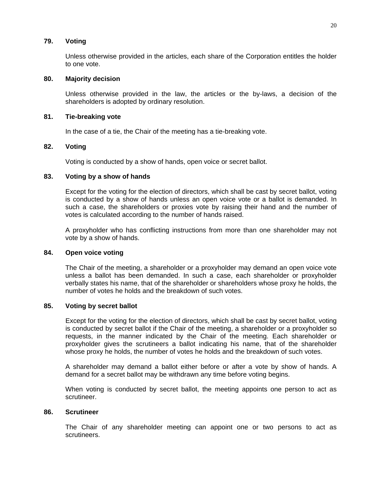# **79. Voting**

Unless otherwise provided in the articles, each share of the Corporation entitles the holder to one vote.

## **80. Majority decision**

Unless otherwise provided in the law, the articles or the by-laws, a decision of the shareholders is adopted by ordinary resolution.

# **81. Tie-breaking vote**

In the case of a tie, the Chair of the meeting has a tie-breaking vote.

### **82. Voting**

Voting is conducted by a show of hands, open voice or secret ballot.

### **83. Voting by a show of hands**

Except for the voting for the election of directors, which shall be cast by secret ballot, voting is conducted by a show of hands unless an open voice vote or a ballot is demanded. In such a case, the shareholders or proxies vote by raising their hand and the number of votes is calculated according to the number of hands raised.

A proxyholder who has conflicting instructions from more than one shareholder may not vote by a show of hands.

#### **84. Open voice voting**

The Chair of the meeting, a shareholder or a proxyholder may demand an open voice vote unless a ballot has been demanded. In such a case, each shareholder or proxyholder verbally states his name, that of the shareholder or shareholders whose proxy he holds, the number of votes he holds and the breakdown of such votes.

# **85. Voting by secret ballot**

Except for the voting for the election of directors, which shall be cast by secret ballot, voting is conducted by secret ballot if the Chair of the meeting, a shareholder or a proxyholder so requests, in the manner indicated by the Chair of the meeting. Each shareholder or proxyholder gives the scrutineers a ballot indicating his name, that of the shareholder whose proxy he holds, the number of votes he holds and the breakdown of such votes.

A shareholder may demand a ballot either before or after a vote by show of hands. A demand for a secret ballot may be withdrawn any time before voting begins.

When voting is conducted by secret ballot, the meeting appoints one person to act as scrutineer.

#### **86. Scrutineer**

The Chair of any shareholder meeting can appoint one or two persons to act as scrutineers.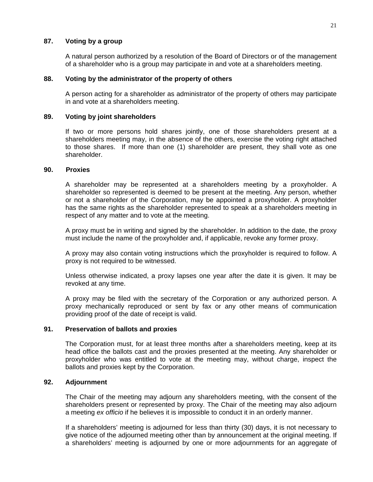# **87. Voting by a group**

A natural person authorized by a resolution of the Board of Directors or of the management of a shareholder who is a group may participate in and vote at a shareholders meeting.

## **88. Voting by the administrator of the property of others**

A person acting for a shareholder as administrator of the property of others may participate in and vote at a shareholders meeting.

### **89. Voting by joint shareholders**

If two or more persons hold shares jointly, one of those shareholders present at a shareholders meeting may, in the absence of the others, exercise the voting right attached to those shares. If more than one (1) shareholder are present, they shall vote as one shareholder.

## **90. Proxies**

A shareholder may be represented at a shareholders meeting by a proxyholder. A shareholder so represented is deemed to be present at the meeting. Any person, whether or not a shareholder of the Corporation, may be appointed a proxyholder. A proxyholder has the same rights as the shareholder represented to speak at a shareholders meeting in respect of any matter and to vote at the meeting.

A proxy must be in writing and signed by the shareholder. In addition to the date, the proxy must include the name of the proxyholder and, if applicable, revoke any former proxy.

A proxy may also contain voting instructions which the proxyholder is required to follow. A proxy is not required to be witnessed.

Unless otherwise indicated, a proxy lapses one year after the date it is given. It may be revoked at any time.

A proxy may be filed with the secretary of the Corporation or any authorized person. A proxy mechanically reproduced or sent by fax or any other means of communication providing proof of the date of receipt is valid.

# **91. Preservation of ballots and proxies**

The Corporation must, for at least three months after a shareholders meeting, keep at its head office the ballots cast and the proxies presented at the meeting. Any shareholder or proxyholder who was entitled to vote at the meeting may, without charge, inspect the ballots and proxies kept by the Corporation.

# **92. Adjournment**

The Chair of the meeting may adjourn any shareholders meeting, with the consent of the shareholders present or represented by proxy. The Chair of the meeting may also adjourn a meeting *ex officio* if he believes it is impossible to conduct it in an orderly manner.

If a shareholders' meeting is adjourned for less than thirty (30) days, it is not necessary to give notice of the adjourned meeting other than by announcement at the original meeting. If a shareholders' meeting is adjourned by one or more adjournments for an aggregate of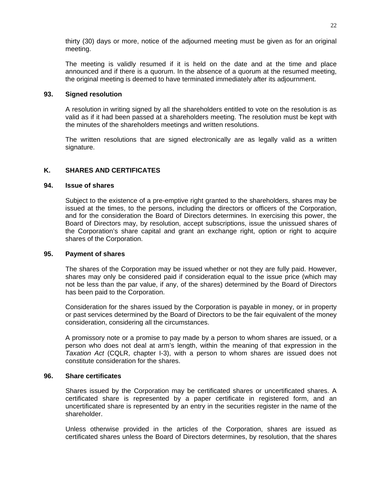thirty (30) days or more, notice of the adjourned meeting must be given as for an original meeting.

The meeting is validly resumed if it is held on the date and at the time and place announced and if there is a quorum. In the absence of a quorum at the resumed meeting, the original meeting is deemed to have terminated immediately after its adjournment.

# **93. Signed resolution**

A resolution in writing signed by all the shareholders entitled to vote on the resolution is as valid as if it had been passed at a shareholders meeting. The resolution must be kept with the minutes of the shareholders meetings and written resolutions.

The written resolutions that are signed electronically are as legally valid as a written signature.

# **K. SHARES AND CERTIFICATES**

# **94. Issue of shares**

Subject to the existence of a pre-emptive right granted to the shareholders, shares may be issued at the times, to the persons, including the directors or officers of the Corporation, and for the consideration the Board of Directors determines. In exercising this power, the Board of Directors may, by resolution, accept subscriptions, issue the unissued shares of the Corporation's share capital and grant an exchange right, option or right to acquire shares of the Corporation.

# **95. Payment of shares**

The shares of the Corporation may be issued whether or not they are fully paid. However, shares may only be considered paid if consideration equal to the issue price (which may not be less than the par value, if any, of the shares) determined by the Board of Directors has been paid to the Corporation.

Consideration for the shares issued by the Corporation is payable in money, or in property or past services determined by the Board of Directors to be the fair equivalent of the money consideration, considering all the circumstances.

A promissory note or a promise to pay made by a person to whom shares are issued, or a person who does not deal at arm's length, within the meaning of that expression in the *Taxation Act* (CQLR, chapter I-3), with a person to whom shares are issued does not constitute consideration for the shares.

# **96. Share certificates**

Shares issued by the Corporation may be certificated shares or uncertificated shares. A certificated share is represented by a paper certificate in registered form, and an uncertificated share is represented by an entry in the securities register in the name of the shareholder.

Unless otherwise provided in the articles of the Corporation, shares are issued as certificated shares unless the Board of Directors determines, by resolution, that the shares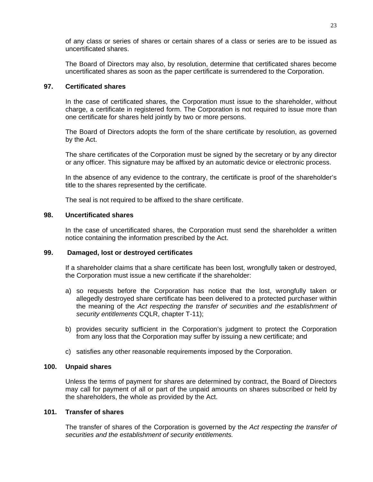of any class or series of shares or certain shares of a class or series are to be issued as uncertificated shares.

The Board of Directors may also, by resolution, determine that certificated shares become uncertificated shares as soon as the paper certificate is surrendered to the Corporation.

# **97. Certificated shares**

In the case of certificated shares, the Corporation must issue to the shareholder, without charge, a certificate in registered form. The Corporation is not required to issue more than one certificate for shares held jointly by two or more persons.

The Board of Directors adopts the form of the share certificate by resolution, as governed by the Act.

The share certificates of the Corporation must be signed by the secretary or by any director or any officer. This signature may be affixed by an automatic device or electronic process.

In the absence of any evidence to the contrary, the certificate is proof of the shareholder's title to the shares represented by the certificate.

The seal is not required to be affixed to the share certificate.

# **98. Uncertificated shares**

In the case of uncertificated shares, the Corporation must send the shareholder a written notice containing the information prescribed by the Act.

# **99. Damaged, lost or destroyed certificates**

If a shareholder claims that a share certificate has been lost, wrongfully taken or destroyed, the Corporation must issue a new certificate if the shareholder:

- a) so requests before the Corporation has notice that the lost, wrongfully taken or allegedly destroyed share certificate has been delivered to a protected purchaser within the meaning of the *Act respecting the transfer of securities and the establishment of security entitlements* CQLR, chapter T-11);
- b) provides security sufficient in the Corporation's judgment to protect the Corporation from any loss that the Corporation may suffer by issuing a new certificate; and
- c) satisfies any other reasonable requirements imposed by the Corporation.

# **100. Unpaid shares**

Unless the terms of payment for shares are determined by contract, the Board of Directors may call for payment of all or part of the unpaid amounts on shares subscribed or held by the shareholders, the whole as provided by the Act.

# **101. Transfer of shares**

The transfer of shares of the Corporation is governed by the *Act respecting the transfer of securities and the establishment of security entitlements.*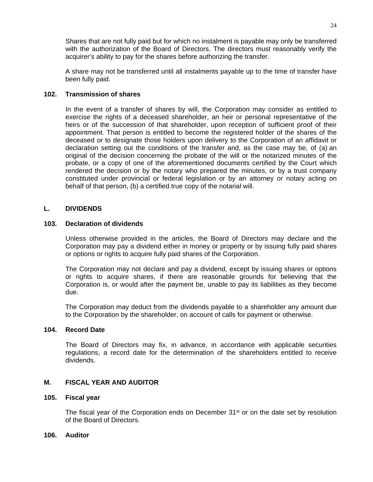Shares that are not fully paid but for which no instalment is payable may only be transferred with the authorization of the Board of Directors. The directors must reasonably verify the acquirer's ability to pay for the shares before authorizing the transfer.

A share may not be transferred until all instalments payable up to the time of transfer have been fully paid.

# **102. Transmission of shares**

In the event of a transfer of shares by will, the Corporation may consider as entitled to exercise the rights of a deceased shareholder, an heir or personal representative of the heirs or of the succession of that shareholder, upon reception of sufficient proof of their appointment. That person is entitled to become the registered holder of the shares of the deceased or to designate those holders upon delivery to the Corporation of an affidavit or declaration setting out the conditions of the transfer and, as the case may be, of (a) an original of the decision concerning the probate of the will or the notarized minutes of the probate, or a copy of one of the aforementioned documents certified by the Court which rendered the decision or by the notary who prepared the minutes, or by a trust company constituted under provincial or federal legislation or by an attorney or notary acting on behalf of that person, (b) a certified true copy of the notarial will.

# **L. DIVIDENDS**

# **103. Declaration of dividends**

Unless otherwise provided in the articles, the Board of Directors may declare and the Corporation may pay a dividend either in money or property or by issuing fully paid shares or options or rights to acquire fully paid shares of the Corporation.

The Corporation may not declare and pay a dividend, except by issuing shares or options or rights to acquire shares, if there are reasonable grounds for believing that the Corporation is, or would after the payment be, unable to pay its liabilities as they become due.

The Corporation may deduct from the dividends payable to a shareholder any amount due to the Corporation by the shareholder, on account of calls for payment or otherwise.

# **104. Record Date**

The Board of Directors may fix, in advance, in accordance with applicable securities regulations, a record date for the determination of the shareholders entitled to receive dividends.

# **M. FISCAL YEAR AND AUDITOR**

#### **105. Fiscal year**

The fiscal year of the Corporation ends on December  $31<sup>st</sup>$  or on the date set by resolution of the Board of Directors.

# **106. Auditor**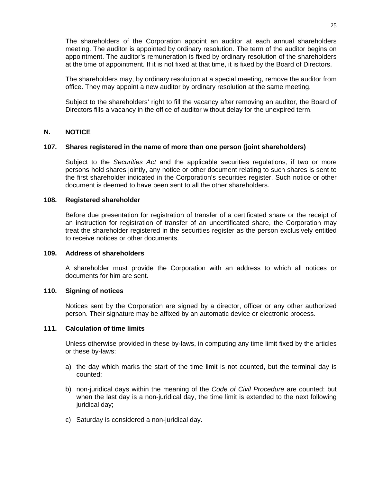The shareholders of the Corporation appoint an auditor at each annual shareholders meeting. The auditor is appointed by ordinary resolution. The term of the auditor begins on appointment. The auditor's remuneration is fixed by ordinary resolution of the shareholders at the time of appointment. If it is not fixed at that time, it is fixed by the Board of Directors.

The shareholders may, by ordinary resolution at a special meeting, remove the auditor from office. They may appoint a new auditor by ordinary resolution at the same meeting.

Subject to the shareholders' right to fill the vacancy after removing an auditor, the Board of Directors fills a vacancy in the office of auditor without delay for the unexpired term.

# **N. NOTICE**

# **107. Shares registered in the name of more than one person (joint shareholders)**

Subject to the *Securities Act* and the applicable securities regulations*,* if two or more persons hold shares jointly, any notice or other document relating to such shares is sent to the first shareholder indicated in the Corporation's securities register. Such notice or other document is deemed to have been sent to all the other shareholders.

## **108. Registered shareholder**

Before due presentation for registration of transfer of a certificated share or the receipt of an instruction for registration of transfer of an uncertificated share, the Corporation may treat the shareholder registered in the securities register as the person exclusively entitled to receive notices or other documents.

# **109. Address of shareholders**

A shareholder must provide the Corporation with an address to which all notices or documents for him are sent.

# **110. Signing of notices**

Notices sent by the Corporation are signed by a director, officer or any other authorized person. Their signature may be affixed by an automatic device or electronic process.

# **111. Calculation of time limits**

Unless otherwise provided in these by-laws, in computing any time limit fixed by the articles or these by-laws:

- a) the day which marks the start of the time limit is not counted, but the terminal day is counted;
- b) non-juridical days within the meaning of the *Code of Civil Procedure* are counted; but when the last day is a non-juridical day, the time limit is extended to the next following juridical day;
- c) Saturday is considered a non-juridical day.